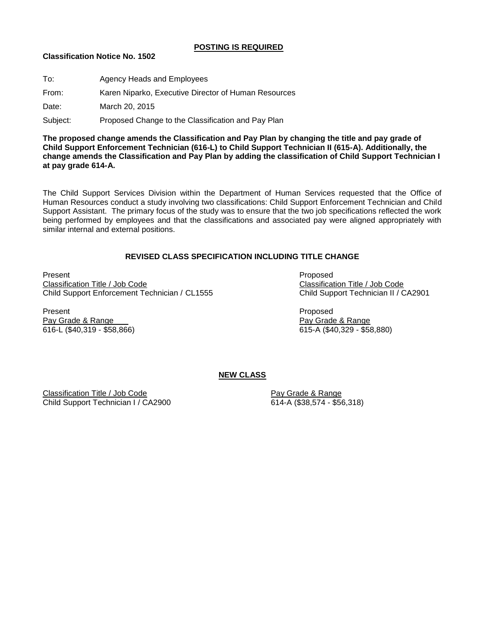#### **POSTING IS REQUIRED**

### **Classification Notice No. 1502**

| To:      | Agency Heads and Employees                           |
|----------|------------------------------------------------------|
| From:    | Karen Niparko, Executive Director of Human Resources |
| Date:    | March 20, 2015                                       |
| Subject: | Proposed Change to the Classification and Pay Plan   |

**The proposed change amends the Classification and Pay Plan by changing the title and pay grade of Child Support Enforcement Technician (616-L) to Child Support Technician II (615-A). Additionally, the change amends the Classification and Pay Plan by adding the classification of Child Support Technician I at pay grade 614-A.**

The Child Support Services Division within the Department of Human Services requested that the Office of Human Resources conduct a study involving two classifications: Child Support Enforcement Technician and Child Support Assistant. The primary focus of the study was to ensure that the two job specifications reflected the work being performed by employees and that the classifications and associated pay were aligned appropriately with similar internal and external positions.

# **REVISED CLASS SPECIFICATION INCLUDING TITLE CHANGE**

Present Proposed Classification Title / Job Code Classification Title / Job Code Child Support Enforcement Technician / CL1555 Child Support Technician II / CA2901

Present Proposed Pay Grade & Range **Pay Grade & Range** Pay Grade & Range

616-L (\$40,319 - \$58,866) 615-A (\$40,329 - \$58,880)

# **NEW CLASS**

Classification Title / Job Code<br>
Child Support Technician I / CA2900<br>
614-A (\$38,574 - \$56,318) Child Support Technician I / CA2900